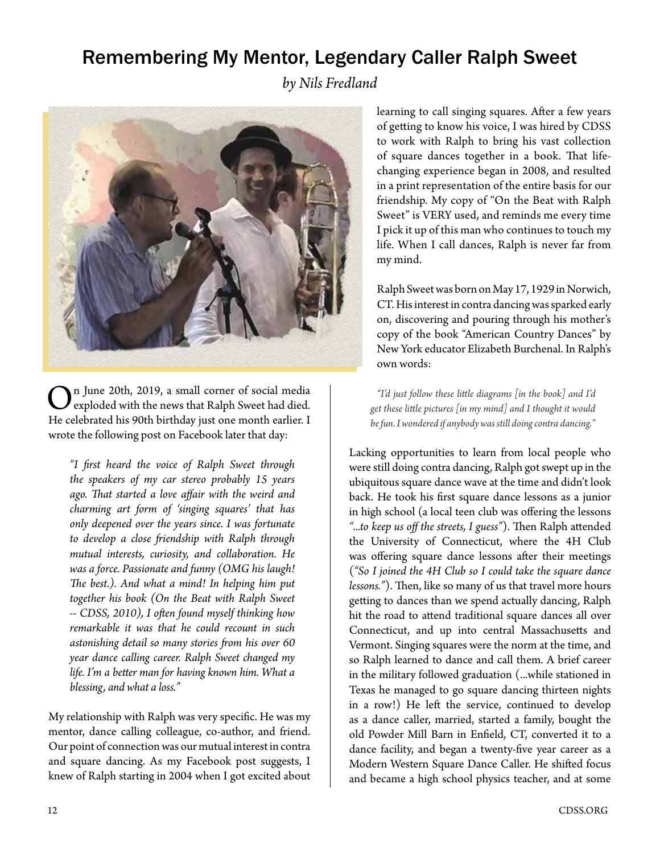## Remembering My Mentor, Legendary Caller Ralph Sweet

*by Nils Fredland*



n June 20th, 2019, a small corner of social media exploded with the news that Ralph Sweet had died. He celebrated his 90th birthday just one month earlier. I wrote the following post on Facebook later that day:

*"I first heard the voice of Ralph Sweet through the speakers of my car stereo probably 15 years ago. That started a love affair with the weird and charming art form of 'singing squares' that has only deepened over the years since. I was fortunate to develop a close friendship with Ralph through mutual interests, curiosity, and collaboration. He was a force. Passionate and funny (OMG his laugh! The best.). And what a mind! In helping him put together his book (On the Beat with Ralph Sweet -- CDSS, 2010), I often found myself thinking how remarkable it was that he could recount in such astonishing detail so many stories from his over 60 year dance calling career. Ralph Sweet changed my life. I'm a better man for having known him. What a blessing, and what a loss."*

My relationship with Ralph was very specific. He was my mentor, dance calling colleague, co-author, and friend. Our point of connection was our mutual interest in contra and square dancing. As my Facebook post suggests, I knew of Ralph starting in 2004 when I got excited about learning to call singing squares. After a few years of getting to know his voice, I was hired by CDSS to work with Ralph to bring his vast collection of square dances together in a book. That lifechanging experience began in 2008, and resulted in a print representation of the entire basis for our friendship. My copy of "On the Beat with Ralph Sweet" is VERY used, and reminds me every time I pick it up of this man who continues to touch my life. When I call dances, Ralph is never far from my mind.

Ralph Sweet was born on May 17, 1929 in Norwich, CT. His interest in contra dancing was sparked early on, discovering and pouring through his mother's copy of the book "American Country Dances" by New York educator Elizabeth Burchenal. In Ralph's own words:

*"I'd just follow these little diagrams [in the book] and I'd get these little pictures [in my mind] and I thought it would be fun. I wondered if anybody was still doing contra dancing."*

Lacking opportunities to learn from local people who were still doing contra dancing, Ralph got swept up in the ubiquitous square dance wave at the time and didn't look back. He took his first square dance lessons as a junior in high school (a local teen club was offering the lessons *"...to keep us off the streets, I guess"*). Then Ralph attended the University of Connecticut, where the 4H Club was offering square dance lessons after their meetings (*"So I joined the 4H Club so I could take the square dance lessons."*). Then, like so many of us that travel more hours getting to dances than we spend actually dancing, Ralph hit the road to attend traditional square dances all over Connecticut, and up into central Massachusetts and Vermont. Singing squares were the norm at the time, and so Ralph learned to dance and call them. A brief career in the military followed graduation (...while stationed in Texas he managed to go square dancing thirteen nights in a row!) He left the service, continued to develop as a dance caller, married, started a family, bought the old Powder Mill Barn in Enfield, CT, converted it to a dance facility, and began a twenty-five year career as a Modern Western Square Dance Caller. He shifted focus and became a high school physics teacher, and at some